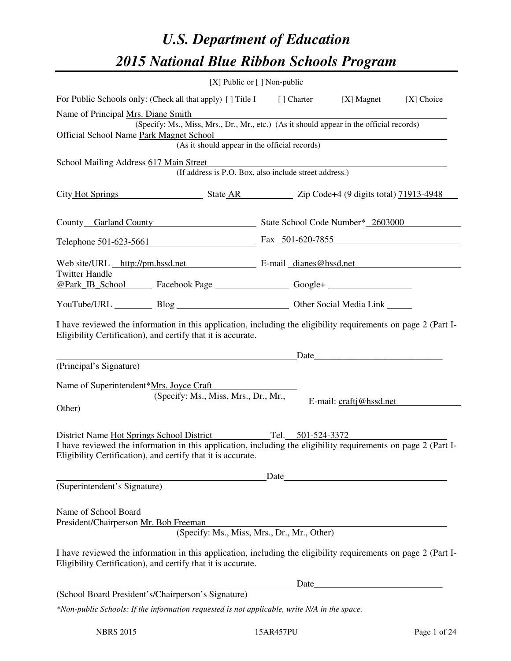# *U.S. Department of Education 2015 National Blue Ribbon Schools Program*

|                                                                                                                                                                                                                                                 | [X] Public or [] Non-public |                                                        |                                                                                                                                                                                                                                                                                                                   |            |
|-------------------------------------------------------------------------------------------------------------------------------------------------------------------------------------------------------------------------------------------------|-----------------------------|--------------------------------------------------------|-------------------------------------------------------------------------------------------------------------------------------------------------------------------------------------------------------------------------------------------------------------------------------------------------------------------|------------|
| For Public Schools only: (Check all that apply) [] Title I [] Charter [X] Magnet                                                                                                                                                                |                             |                                                        |                                                                                                                                                                                                                                                                                                                   | [X] Choice |
| Name of Principal Mrs. Diane Smith<br>(Specify: Ms., Miss, Mrs., Dr., Mr., etc.) (As it should appear in the official records)<br>Official School Name Park Magnet School                                                                       |                             |                                                        |                                                                                                                                                                                                                                                                                                                   |            |
|                                                                                                                                                                                                                                                 |                             |                                                        | net School<br>(As it should appear in the official records)                                                                                                                                                                                                                                                       |            |
| School Mailing Address 617 Main Street                                                                                                                                                                                                          |                             | (If address is P.O. Box, also include street address.) |                                                                                                                                                                                                                                                                                                                   |            |
| City Hot Springs State AR Zip Code+4 (9 digits total) 71913-4948                                                                                                                                                                                |                             |                                                        |                                                                                                                                                                                                                                                                                                                   |            |
| County Garland County State School Code Number* 2603000                                                                                                                                                                                         |                             |                                                        |                                                                                                                                                                                                                                                                                                                   |            |
| Telephone 501-623-5661 Fax 501-620-7855                                                                                                                                                                                                         |                             |                                                        |                                                                                                                                                                                                                                                                                                                   |            |
| Web site/URL http://pm.hssd.net E-mail dianes@hssd.net<br><b>Twitter Handle</b>                                                                                                                                                                 |                             |                                                        |                                                                                                                                                                                                                                                                                                                   |            |
|                                                                                                                                                                                                                                                 |                             |                                                        |                                                                                                                                                                                                                                                                                                                   |            |
| YouTube/URL Blog Blog Discount Cher Social Media Link                                                                                                                                                                                           |                             |                                                        |                                                                                                                                                                                                                                                                                                                   |            |
| I have reviewed the information in this application, including the eligibility requirements on page 2 (Part I-<br>Eligibility Certification), and certify that it is accurate.                                                                  |                             |                                                        | $Date$ and $Date$ and $Date$ and $Date$ and $Date$ and $Date$ and $Date$ and $Date$ and $Date$ and $Date$ and $Date$ and $Date$ and $Date$ and $Date$ and $Date$ and $Date$ and $Date$ and $Date$ and $Date$ and $Date$ and $Date$ and $Date$ and $Date$ and $Date$ and $Date$ and $Date$ and $Date$ and $Date$ a |            |
| (Principal's Signature)                                                                                                                                                                                                                         |                             |                                                        |                                                                                                                                                                                                                                                                                                                   |            |
| Name of Superintendent*Mrs. Joyce Craft<br>(Specify: Ms., Miss, Mrs., Dr., Mr.,<br>Other)                                                                                                                                                       |                             |                                                        | E-mail: craftj@hssd.net                                                                                                                                                                                                                                                                                           |            |
| District Name Hot Springs School District Tel. 501-524-3372<br>I have reviewed the information in this application, including the eligibility requirements on page 2 (Part I-<br>Eligibility Certification), and certify that it is accurate.   |                             |                                                        | Date experience and the second service of the service of the service of the service of the service of the service of the service of the service of the service of the service of the service of the service of the service of                                                                                     |            |
| (Superintendent's Signature)                                                                                                                                                                                                                    |                             |                                                        |                                                                                                                                                                                                                                                                                                                   |            |
| Name of School Board<br>President/Chairperson Mr. Bob Freeman<br>I have reviewed the information in this application, including the eligibility requirements on page 2 (Part I-<br>Eligibility Certification), and certify that it is accurate. |                             | (Specify: Ms., Miss, Mrs., Dr., Mr., Other)            |                                                                                                                                                                                                                                                                                                                   |            |
|                                                                                                                                                                                                                                                 |                             |                                                        |                                                                                                                                                                                                                                                                                                                   |            |
| (School Board President's/Chairperson's Signature)                                                                                                                                                                                              |                             |                                                        | Date                                                                                                                                                                                                                                                                                                              |            |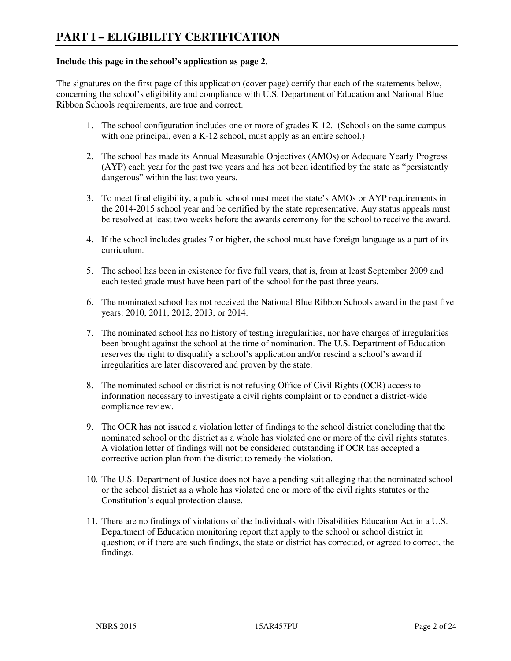#### **Include this page in the school's application as page 2.**

The signatures on the first page of this application (cover page) certify that each of the statements below, concerning the school's eligibility and compliance with U.S. Department of Education and National Blue Ribbon Schools requirements, are true and correct.

- 1. The school configuration includes one or more of grades K-12. (Schools on the same campus with one principal, even a K-12 school, must apply as an entire school.)
- 2. The school has made its Annual Measurable Objectives (AMOs) or Adequate Yearly Progress (AYP) each year for the past two years and has not been identified by the state as "persistently dangerous" within the last two years.
- 3. To meet final eligibility, a public school must meet the state's AMOs or AYP requirements in the 2014-2015 school year and be certified by the state representative. Any status appeals must be resolved at least two weeks before the awards ceremony for the school to receive the award.
- 4. If the school includes grades 7 or higher, the school must have foreign language as a part of its curriculum.
- 5. The school has been in existence for five full years, that is, from at least September 2009 and each tested grade must have been part of the school for the past three years.
- 6. The nominated school has not received the National Blue Ribbon Schools award in the past five years: 2010, 2011, 2012, 2013, or 2014.
- 7. The nominated school has no history of testing irregularities, nor have charges of irregularities been brought against the school at the time of nomination. The U.S. Department of Education reserves the right to disqualify a school's application and/or rescind a school's award if irregularities are later discovered and proven by the state.
- 8. The nominated school or district is not refusing Office of Civil Rights (OCR) access to information necessary to investigate a civil rights complaint or to conduct a district-wide compliance review.
- 9. The OCR has not issued a violation letter of findings to the school district concluding that the nominated school or the district as a whole has violated one or more of the civil rights statutes. A violation letter of findings will not be considered outstanding if OCR has accepted a corrective action plan from the district to remedy the violation.
- 10. The U.S. Department of Justice does not have a pending suit alleging that the nominated school or the school district as a whole has violated one or more of the civil rights statutes or the Constitution's equal protection clause.
- 11. There are no findings of violations of the Individuals with Disabilities Education Act in a U.S. Department of Education monitoring report that apply to the school or school district in question; or if there are such findings, the state or district has corrected, or agreed to correct, the findings.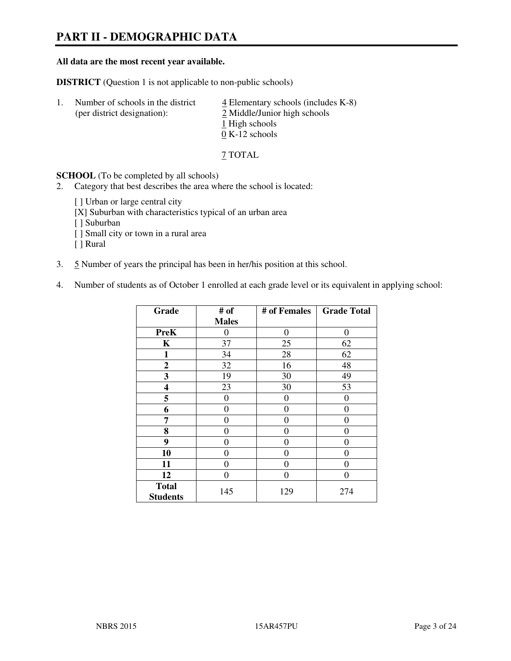# **PART II - DEMOGRAPHIC DATA**

#### **All data are the most recent year available.**

**DISTRICT** (Question 1 is not applicable to non-public schools)

| $\perp$ | Number of schools in the district<br>(per district designation): | $\overline{4}$ Elementary schools (includes K-8)<br>2 Middle/Junior high schools |
|---------|------------------------------------------------------------------|----------------------------------------------------------------------------------|
|         |                                                                  | 1 High schools<br>$0 K-12$ schools                                               |

7 TOTAL

**SCHOOL** (To be completed by all schools)

- 2. Category that best describes the area where the school is located:
	- [ ] Urban or large central city
	- [X] Suburban with characteristics typical of an urban area
	- [ ] Suburban
	- [ ] Small city or town in a rural area
	- [ ] Rural
- 3. 5 Number of years the principal has been in her/his position at this school.
- 4. Number of students as of October 1 enrolled at each grade level or its equivalent in applying school:

| Grade                           | # of         | # of Females     | <b>Grade Total</b> |
|---------------------------------|--------------|------------------|--------------------|
|                                 | <b>Males</b> |                  |                    |
| <b>PreK</b>                     | $\theta$     | $\boldsymbol{0}$ | $\theta$           |
| K                               | 37           | 25               | 62                 |
| 1                               | 34           | 28               | 62                 |
| $\mathbf{2}$                    | 32           | 16               | 48                 |
| 3                               | 19           | 30               | 49                 |
| 4                               | 23           | 30               | 53                 |
| 5                               | 0            | $\theta$         | $\theta$           |
| 6                               | 0            | 0                | 0                  |
| 7                               | 0            | $\overline{0}$   | 0                  |
| 8                               | 0            | 0                | 0                  |
| 9                               | $\theta$     | 0                | 0                  |
| 10                              | 0            | 0                | 0                  |
| 11                              | 0            | 0                | $\theta$           |
| 12                              | 0            | 0                | 0                  |
| <b>Total</b><br><b>Students</b> | 145          | 129              | 274                |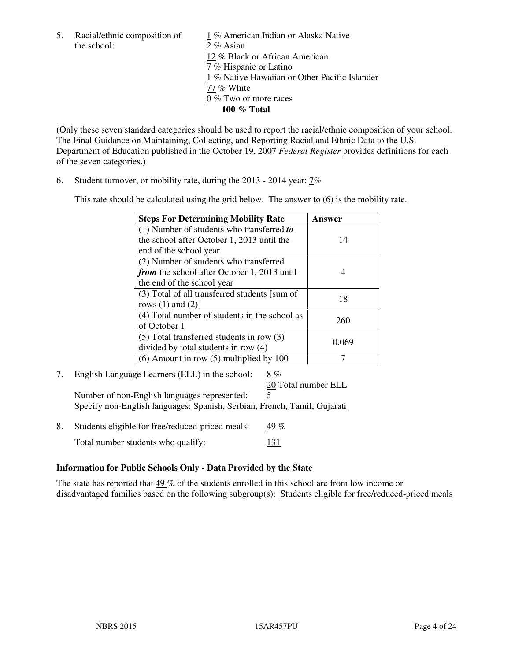the school: 2 % Asian

5. Racial/ethnic composition of  $1\%$  American Indian or Alaska Native 12 % Black or African American 7 % Hispanic or Latino 1 % Native Hawaiian or Other Pacific Islander 77 % White 0 % Two or more races **100 % Total** 

(Only these seven standard categories should be used to report the racial/ethnic composition of your school. The Final Guidance on Maintaining, Collecting, and Reporting Racial and Ethnic Data to the U.S. Department of Education published in the October 19, 2007 *Federal Register* provides definitions for each of the seven categories.)

6. Student turnover, or mobility rate, during the 2013 - 2014 year: 7%

This rate should be calculated using the grid below. The answer to (6) is the mobility rate.

| <b>Steps For Determining Mobility Rate</b>         | Answer |
|----------------------------------------------------|--------|
| $(1)$ Number of students who transferred to        |        |
| the school after October 1, 2013 until the         | 14     |
| end of the school year                             |        |
| (2) Number of students who transferred             |        |
| <i>from</i> the school after October 1, 2013 until |        |
| the end of the school year                         |        |
| (3) Total of all transferred students [sum of      | 18     |
| rows $(1)$ and $(2)$ ]                             |        |
| (4) Total number of students in the school as      | 260    |
| of October 1                                       |        |
| $(5)$ Total transferred students in row $(3)$      | 0.069  |
| divided by total students in row (4)               |        |
| $(6)$ Amount in row $(5)$ multiplied by 100        |        |

7. English Language Learners (ELL) in the school: 8 % 20 Total number ELL

Number of non-English languages represented: 5 Specify non-English languages: Spanish, Serbian, French, Tamil, Gujarati

8. Students eligible for free/reduced-priced meals:  $49\%$ Total number students who qualify: 131

# **Information for Public Schools Only - Data Provided by the State**

The state has reported that 49 % of the students enrolled in this school are from low income or disadvantaged families based on the following subgroup(s): Students eligible for free/reduced-priced meals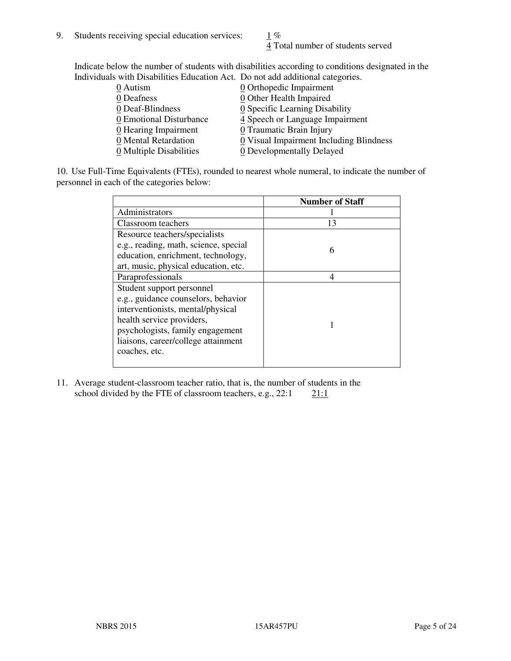4 Total number of students served

Indicate below the number of students with disabilities according to conditions designated in the Individuals with Disabilities Education Act. Do not add additional categories.

| 0 Autism                           | $Q$ Orthopedic Impairment               |
|------------------------------------|-----------------------------------------|
| 0 Deafness                         | 0 Other Health Impaired                 |
| 0 Deaf-Blindness                   | 0 Specific Learning Disability          |
| 0 Emotional Disturbance            | 4 Speech or Language Impairment         |
| $\underline{0}$ Hearing Impairment | 0 Traumatic Brain Injury                |
| 0 Mental Retardation               | 0 Visual Impairment Including Blindness |
| 0 Multiple Disabilities            | 0 Developmentally Delayed               |
|                                    |                                         |

10. Use Full-Time Equivalents (FTEs), rounded to nearest whole numeral, to indicate the number of personnel in each of the categories below:

|                                       | <b>Number of Staff</b> |
|---------------------------------------|------------------------|
| Administrators                        |                        |
| Classroom teachers                    | 13                     |
| Resource teachers/specialists         |                        |
| e.g., reading, math, science, special | 6                      |
| education, enrichment, technology,    |                        |
| art, music, physical education, etc.  |                        |
| Paraprofessionals                     |                        |
| Student support personnel             |                        |
| e.g., guidance counselors, behavior   |                        |
| interventionists, mental/physical     |                        |
| health service providers,             |                        |
| psychologists, family engagement      |                        |
| liaisons, career/college attainment   |                        |
| coaches, etc.                         |                        |
|                                       |                        |

11. Average student-classroom teacher ratio, that is, the number of students in the school divided by the FTE of classroom teachers, e.g.,  $22:1$  21:1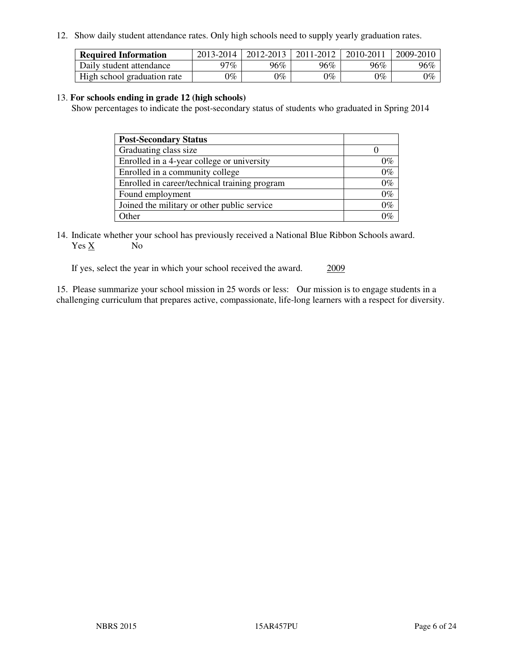12. Show daily student attendance rates. Only high schools need to supply yearly graduation rates.

| <b>Required Information</b> | 2013-2014     | 2012-2013       | 2011-2012 | 2010-2011 | 2009-2010 |
|-----------------------------|---------------|-----------------|-----------|-----------|-----------|
| Daily student attendance    | 97%           | $96\%$          | 96%       | 96%       | 96%       |
| High school graduation rate | $\gamma_{\%}$ | $\mathcal{V}_o$ | $0\%$     | 0%        | 0%        |

#### 13. **For schools ending in grade 12 (high schools)**

Show percentages to indicate the post-secondary status of students who graduated in Spring 2014

| <b>Post-Secondary Status</b>                  |       |
|-----------------------------------------------|-------|
| Graduating class size                         |       |
| Enrolled in a 4-year college or university    | 0%    |
| Enrolled in a community college               | $0\%$ |
| Enrolled in career/technical training program | $0\%$ |
| Found employment                              | $0\%$ |
| Joined the military or other public service   | $0\%$ |
| Other                                         |       |

14. Indicate whether your school has previously received a National Blue Ribbon Schools award. Yes X No

If yes, select the year in which your school received the award. 2009

15. Please summarize your school mission in 25 words or less: Our mission is to engage students in a challenging curriculum that prepares active, compassionate, life-long learners with a respect for diversity.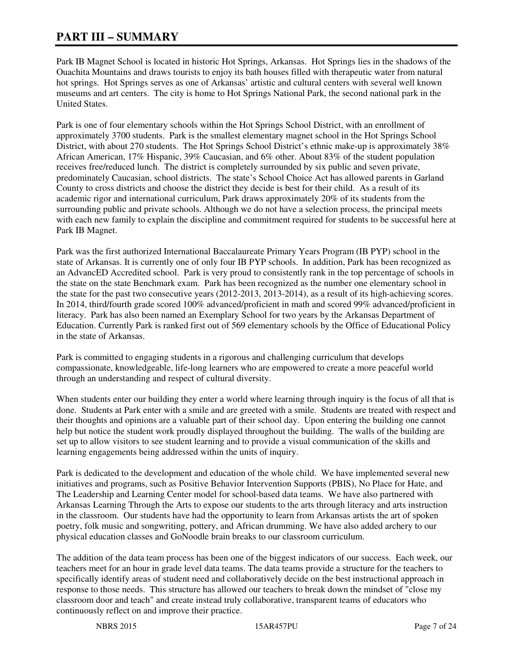# **PART III – SUMMARY**

Park IB Magnet School is located in historic Hot Springs, Arkansas. Hot Springs lies in the shadows of the Ouachita Mountains and draws tourists to enjoy its bath houses filled with therapeutic water from natural hot springs. Hot Springs serves as one of Arkansas' artistic and cultural centers with several well known museums and art centers. The city is home to Hot Springs National Park, the second national park in the United States.

Park is one of four elementary schools within the Hot Springs School District, with an enrollment of approximately 3700 students. Park is the smallest elementary magnet school in the Hot Springs School District, with about 270 students. The Hot Springs School District's ethnic make-up is approximately 38% African American, 17% Hispanic, 39% Caucasian, and 6% other. About 83% of the student population receives free/reduced lunch. The district is completely surrounded by six public and seven private, predominately Caucasian, school districts. The state's School Choice Act has allowed parents in Garland County to cross districts and choose the district they decide is best for their child. As a result of its academic rigor and international curriculum, Park draws approximately 20% of its students from the surrounding public and private schools. Although we do not have a selection process, the principal meets with each new family to explain the discipline and commitment required for students to be successful here at Park IB Magnet.

Park was the first authorized International Baccalaureate Primary Years Program (IB PYP) school in the state of Arkansas. It is currently one of only four IB PYP schools. In addition, Park has been recognized as an AdvancED Accredited school. Park is very proud to consistently rank in the top percentage of schools in the state on the state Benchmark exam. Park has been recognized as the number one elementary school in the state for the past two consecutive years (2012-2013, 2013-2014), as a result of its high-achieving scores. In 2014, third/fourth grade scored 100% advanced/proficient in math and scored 99% advanced/proficient in literacy. Park has also been named an Exemplary School for two years by the Arkansas Department of Education. Currently Park is ranked first out of 569 elementary schools by the Office of Educational Policy in the state of Arkansas.

Park is committed to engaging students in a rigorous and challenging curriculum that develops compassionate, knowledgeable, life-long learners who are empowered to create a more peaceful world through an understanding and respect of cultural diversity.

When students enter our building they enter a world where learning through inquiry is the focus of all that is done. Students at Park enter with a smile and are greeted with a smile. Students are treated with respect and their thoughts and opinions are a valuable part of their school day. Upon entering the building one cannot help but notice the student work proudly displayed throughout the building. The walls of the building are set up to allow visitors to see student learning and to provide a visual communication of the skills and learning engagements being addressed within the units of inquiry.

Park is dedicated to the development and education of the whole child. We have implemented several new initiatives and programs, such as Positive Behavior Intervention Supports (PBIS), No Place for Hate, and The Leadership and Learning Center model for school-based data teams. We have also partnered with Arkansas Learning Through the Arts to expose our students to the arts through literacy and arts instruction in the classroom. Our students have had the opportunity to learn from Arkansas artists the art of spoken poetry, folk music and songwriting, pottery, and African drumming. We have also added archery to our physical education classes and GoNoodle brain breaks to our classroom curriculum.

The addition of the data team process has been one of the biggest indicators of our success. Each week, our teachers meet for an hour in grade level data teams. The data teams provide a structure for the teachers to specifically identify areas of student need and collaboratively decide on the best instructional approach in response to those needs. This structure has allowed our teachers to break down the mindset of "close my classroom door and teach" and create instead truly collaborative, transparent teams of educators who continuously reflect on and improve their practice.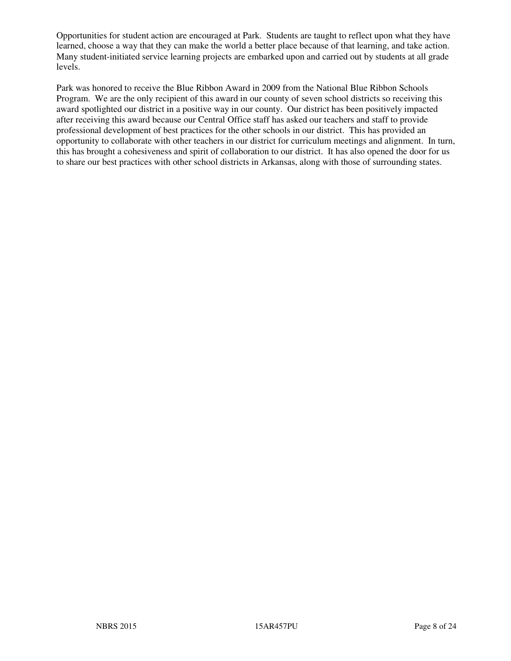Opportunities for student action are encouraged at Park. Students are taught to reflect upon what they have learned, choose a way that they can make the world a better place because of that learning, and take action. Many student-initiated service learning projects are embarked upon and carried out by students at all grade levels.

Park was honored to receive the Blue Ribbon Award in 2009 from the National Blue Ribbon Schools Program. We are the only recipient of this award in our county of seven school districts so receiving this award spotlighted our district in a positive way in our county. Our district has been positively impacted after receiving this award because our Central Office staff has asked our teachers and staff to provide professional development of best practices for the other schools in our district. This has provided an opportunity to collaborate with other teachers in our district for curriculum meetings and alignment. In turn, this has brought a cohesiveness and spirit of collaboration to our district. It has also opened the door for us to share our best practices with other school districts in Arkansas, along with those of surrounding states.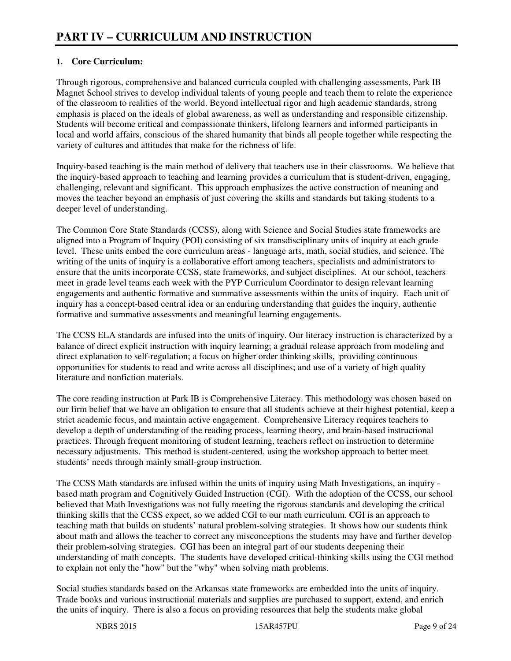# **1. Core Curriculum:**

Through rigorous, comprehensive and balanced curricula coupled with challenging assessments, Park IB Magnet School strives to develop individual talents of young people and teach them to relate the experience of the classroom to realities of the world. Beyond intellectual rigor and high academic standards, strong emphasis is placed on the ideals of global awareness, as well as understanding and responsible citizenship. Students will become critical and compassionate thinkers, lifelong learners and informed participants in local and world affairs, conscious of the shared humanity that binds all people together while respecting the variety of cultures and attitudes that make for the richness of life.

Inquiry-based teaching is the main method of delivery that teachers use in their classrooms. We believe that the inquiry-based approach to teaching and learning provides a curriculum that is student-driven, engaging, challenging, relevant and significant. This approach emphasizes the active construction of meaning and moves the teacher beyond an emphasis of just covering the skills and standards but taking students to a deeper level of understanding.

The Common Core State Standards (CCSS), along with Science and Social Studies state frameworks are aligned into a Program of Inquiry (POI) consisting of six transdisciplinary units of inquiry at each grade level. These units embed the core curriculum areas - language arts, math, social studies, and science. The writing of the units of inquiry is a collaborative effort among teachers, specialists and administrators to ensure that the units incorporate CCSS, state frameworks, and subject disciplines. At our school, teachers meet in grade level teams each week with the PYP Curriculum Coordinator to design relevant learning engagements and authentic formative and summative assessments within the units of inquiry. Each unit of inquiry has a concept-based central idea or an enduring understanding that guides the inquiry, authentic formative and summative assessments and meaningful learning engagements.

The CCSS ELA standards are infused into the units of inquiry. Our literacy instruction is characterized by a balance of direct explicit instruction with inquiry learning; a gradual release approach from modeling and direct explanation to self-regulation; a focus on higher order thinking skills, providing continuous opportunities for students to read and write across all disciplines; and use of a variety of high quality literature and nonfiction materials.

The core reading instruction at Park IB is Comprehensive Literacy. This methodology was chosen based on our firm belief that we have an obligation to ensure that all students achieve at their highest potential, keep a strict academic focus, and maintain active engagement. Comprehensive Literacy requires teachers to develop a depth of understanding of the reading process, learning theory, and brain-based instructional practices. Through frequent monitoring of student learning, teachers reflect on instruction to determine necessary adjustments. This method is student-centered, using the workshop approach to better meet students' needs through mainly small-group instruction.

The CCSS Math standards are infused within the units of inquiry using Math Investigations, an inquiry based math program and Cognitively Guided Instruction (CGI). With the adoption of the CCSS, our school believed that Math Investigations was not fully meeting the rigorous standards and developing the critical thinking skills that the CCSS expect, so we added CGI to our math curriculum. CGI is an approach to teaching math that builds on students' natural problem-solving strategies. It shows how our students think about math and allows the teacher to correct any misconceptions the students may have and further develop their problem-solving strategies. CGI has been an integral part of our students deepening their understanding of math concepts. The students have developed critical-thinking skills using the CGI method to explain not only the "how" but the "why" when solving math problems.

Social studies standards based on the Arkansas state frameworks are embedded into the units of inquiry. Trade books and various instructional materials and supplies are purchased to support, extend, and enrich the units of inquiry. There is also a focus on providing resources that help the students make global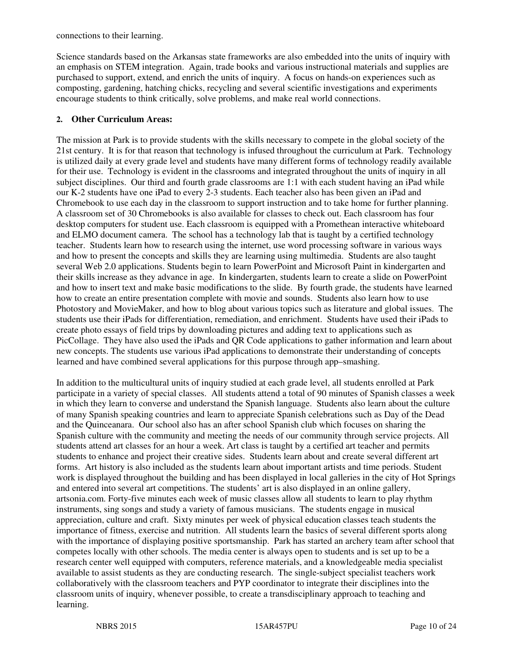connections to their learning.

Science standards based on the Arkansas state frameworks are also embedded into the units of inquiry with an emphasis on STEM integration. Again, trade books and various instructional materials and supplies are purchased to support, extend, and enrich the units of inquiry. A focus on hands-on experiences such as composting, gardening, hatching chicks, recycling and several scientific investigations and experiments encourage students to think critically, solve problems, and make real world connections.

# **2. Other Curriculum Areas:**

The mission at Park is to provide students with the skills necessary to compete in the global society of the 21st century. It is for that reason that technology is infused throughout the curriculum at Park. Technology is utilized daily at every grade level and students have many different forms of technology readily available for their use. Technology is evident in the classrooms and integrated throughout the units of inquiry in all subject disciplines. Our third and fourth grade classrooms are 1:1 with each student having an iPad while our K-2 students have one iPad to every 2-3 students. Each teacher also has been given an iPad and Chromebook to use each day in the classroom to support instruction and to take home for further planning. A classroom set of 30 Chromebooks is also available for classes to check out. Each classroom has four desktop computers for student use. Each classroom is equipped with a Promethean interactive whiteboard and ELMO document camera. The school has a technology lab that is taught by a certified technology teacher. Students learn how to research using the internet, use word processing software in various ways and how to present the concepts and skills they are learning using multimedia. Students are also taught several Web 2.0 applications. Students begin to learn PowerPoint and Microsoft Paint in kindergarten and their skills increase as they advance in age. In kindergarten, students learn to create a slide on PowerPoint and how to insert text and make basic modifications to the slide. By fourth grade, the students have learned how to create an entire presentation complete with movie and sounds. Students also learn how to use Photostory and MovieMaker, and how to blog about various topics such as literature and global issues. The students use their iPads for differentiation, remediation, and enrichment. Students have used their iPads to create photo essays of field trips by downloading pictures and adding text to applications such as PicCollage. They have also used the iPads and QR Code applications to gather information and learn about new concepts. The students use various iPad applications to demonstrate their understanding of concepts learned and have combined several applications for this purpose through app–smashing.

In addition to the multicultural units of inquiry studied at each grade level, all students enrolled at Park participate in a variety of special classes. All students attend a total of 90 minutes of Spanish classes a week in which they learn to converse and understand the Spanish language. Students also learn about the culture of many Spanish speaking countries and learn to appreciate Spanish celebrations such as Day of the Dead and the Quinceanara. Our school also has an after school Spanish club which focuses on sharing the Spanish culture with the community and meeting the needs of our community through service projects. All students attend art classes for an hour a week. Art class is taught by a certified art teacher and permits students to enhance and project their creative sides. Students learn about and create several different art forms. Art history is also included as the students learn about important artists and time periods. Student work is displayed throughout the building and has been displayed in local galleries in the city of Hot Springs and entered into several art competitions. The students' art is also displayed in an online gallery, artsonia.com. Forty-five minutes each week of music classes allow all students to learn to play rhythm instruments, sing songs and study a variety of famous musicians. The students engage in musical appreciation, culture and craft. Sixty minutes per week of physical education classes teach students the importance of fitness, exercise and nutrition. All students learn the basics of several different sports along with the importance of displaying positive sportsmanship. Park has started an archery team after school that competes locally with other schools. The media center is always open to students and is set up to be a research center well equipped with computers, reference materials, and a knowledgeable media specialist available to assist students as they are conducting research. The single-subject specialist teachers work collaboratively with the classroom teachers and PYP coordinator to integrate their disciplines into the classroom units of inquiry, whenever possible, to create a transdisciplinary approach to teaching and learning.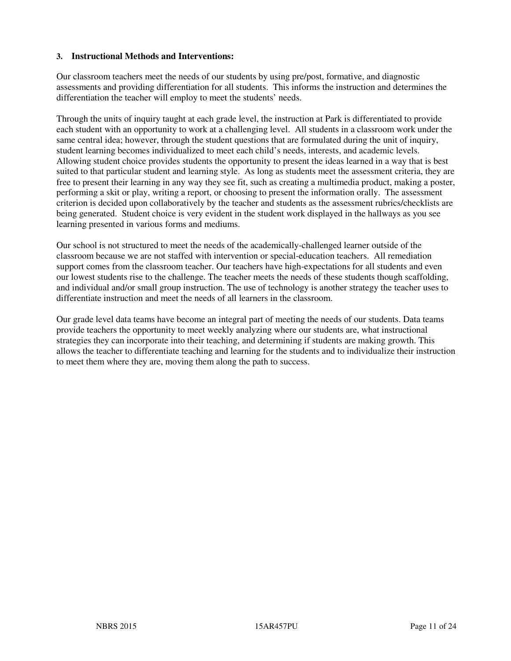#### **3. Instructional Methods and Interventions:**

Our classroom teachers meet the needs of our students by using pre/post, formative, and diagnostic assessments and providing differentiation for all students. This informs the instruction and determines the differentiation the teacher will employ to meet the students' needs.

Through the units of inquiry taught at each grade level, the instruction at Park is differentiated to provide each student with an opportunity to work at a challenging level. All students in a classroom work under the same central idea; however, through the student questions that are formulated during the unit of inquiry, student learning becomes individualized to meet each child's needs, interests, and academic levels. Allowing student choice provides students the opportunity to present the ideas learned in a way that is best suited to that particular student and learning style. As long as students meet the assessment criteria, they are free to present their learning in any way they see fit, such as creating a multimedia product, making a poster, performing a skit or play, writing a report, or choosing to present the information orally. The assessment criterion is decided upon collaboratively by the teacher and students as the assessment rubrics/checklists are being generated. Student choice is very evident in the student work displayed in the hallways as you see learning presented in various forms and mediums.

Our school is not structured to meet the needs of the academically-challenged learner outside of the classroom because we are not staffed with intervention or special-education teachers. All remediation support comes from the classroom teacher. Our teachers have high-expectations for all students and even our lowest students rise to the challenge. The teacher meets the needs of these students though scaffolding, and individual and/or small group instruction. The use of technology is another strategy the teacher uses to differentiate instruction and meet the needs of all learners in the classroom.

Our grade level data teams have become an integral part of meeting the needs of our students. Data teams provide teachers the opportunity to meet weekly analyzing where our students are, what instructional strategies they can incorporate into their teaching, and determining if students are making growth. This allows the teacher to differentiate teaching and learning for the students and to individualize their instruction to meet them where they are, moving them along the path to success.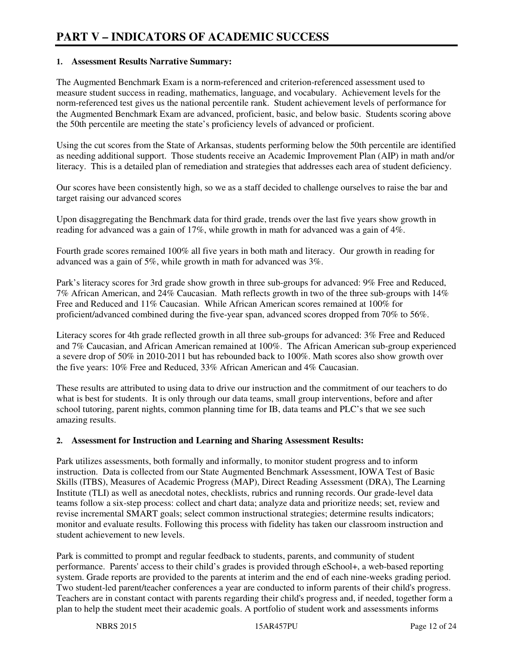#### **1. Assessment Results Narrative Summary:**

The Augmented Benchmark Exam is a norm-referenced and criterion-referenced assessment used to measure student success in reading, mathematics, language, and vocabulary. Achievement levels for the norm-referenced test gives us the national percentile rank. Student achievement levels of performance for the Augmented Benchmark Exam are advanced, proficient, basic, and below basic. Students scoring above the 50th percentile are meeting the state's proficiency levels of advanced or proficient.

Using the cut scores from the State of Arkansas, students performing below the 50th percentile are identified as needing additional support. Those students receive an Academic Improvement Plan (AIP) in math and/or literacy. This is a detailed plan of remediation and strategies that addresses each area of student deficiency.

Our scores have been consistently high, so we as a staff decided to challenge ourselves to raise the bar and target raising our advanced scores

Upon disaggregating the Benchmark data for third grade, trends over the last five years show growth in reading for advanced was a gain of 17%, while growth in math for advanced was a gain of 4%.

Fourth grade scores remained 100% all five years in both math and literacy. Our growth in reading for advanced was a gain of 5%, while growth in math for advanced was 3%.

Park's literacy scores for 3rd grade show growth in three sub-groups for advanced: 9% Free and Reduced, 7% African American, and 24% Caucasian. Math reflects growth in two of the three sub-groups with 14% Free and Reduced and 11% Caucasian. While African American scores remained at 100% for proficient/advanced combined during the five-year span, advanced scores dropped from 70% to 56%.

Literacy scores for 4th grade reflected growth in all three sub-groups for advanced: 3% Free and Reduced and 7% Caucasian, and African American remained at 100%. The African American sub-group experienced a severe drop of 50% in 2010-2011 but has rebounded back to 100%. Math scores also show growth over the five years: 10% Free and Reduced, 33% African American and 4% Caucasian.

These results are attributed to using data to drive our instruction and the commitment of our teachers to do what is best for students. It is only through our data teams, small group interventions, before and after school tutoring, parent nights, common planning time for IB, data teams and PLC's that we see such amazing results.

#### **2. Assessment for Instruction and Learning and Sharing Assessment Results:**

Park utilizes assessments, both formally and informally, to monitor student progress and to inform instruction. Data is collected from our State Augmented Benchmark Assessment, IOWA Test of Basic Skills (ITBS), Measures of Academic Progress (MAP), Direct Reading Assessment (DRA), The Learning Institute (TLI) as well as anecdotal notes, checklists, rubrics and running records. Our grade-level data teams follow a six-step process: collect and chart data; analyze data and prioritize needs; set, review and revise incremental SMART goals; select common instructional strategies; determine results indicators; monitor and evaluate results. Following this process with fidelity has taken our classroom instruction and student achievement to new levels.

Park is committed to prompt and regular feedback to students, parents, and community of student performance. Parents' access to their child's grades is provided through eSchool+, a web-based reporting system. Grade reports are provided to the parents at interim and the end of each nine-weeks grading period. Two student-led parent/teacher conferences a year are conducted to inform parents of their child's progress. Teachers are in constant contact with parents regarding their child's progress and, if needed, together form a plan to help the student meet their academic goals. A portfolio of student work and assessments informs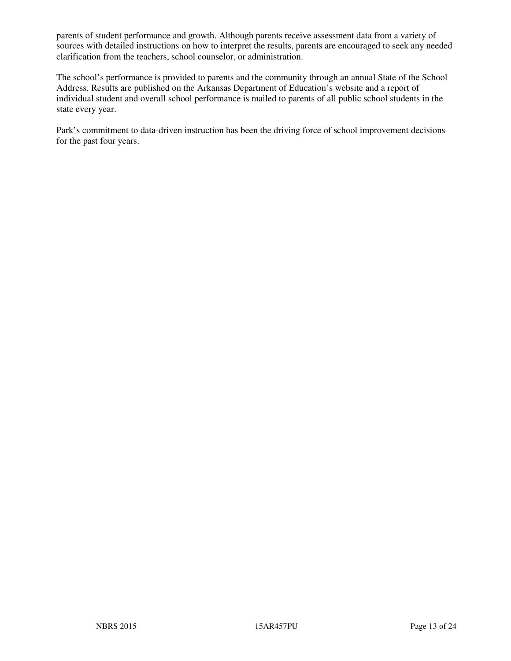parents of student performance and growth. Although parents receive assessment data from a variety of sources with detailed instructions on how to interpret the results, parents are encouraged to seek any needed clarification from the teachers, school counselor, or administration.

The school's performance is provided to parents and the community through an annual State of the School Address. Results are published on the Arkansas Department of Education's website and a report of individual student and overall school performance is mailed to parents of all public school students in the state every year.

Park's commitment to data-driven instruction has been the driving force of school improvement decisions for the past four years.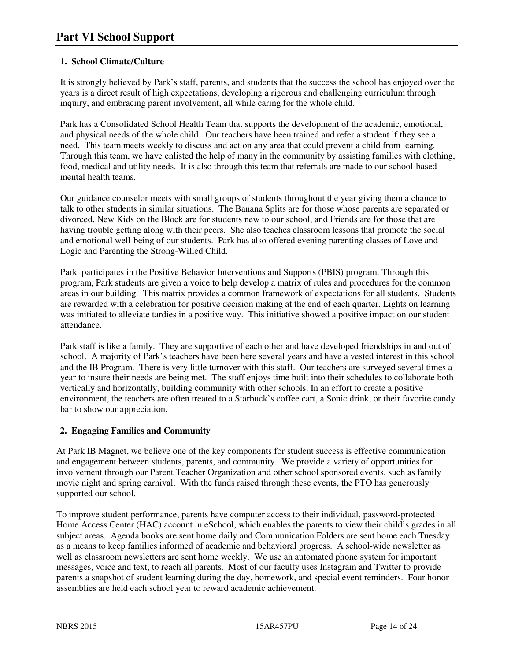# **1. School Climate/Culture**

It is strongly believed by Park's staff, parents, and students that the success the school has enjoyed over the years is a direct result of high expectations, developing a rigorous and challenging curriculum through inquiry, and embracing parent involvement, all while caring for the whole child.

Park has a Consolidated School Health Team that supports the development of the academic, emotional, and physical needs of the whole child. Our teachers have been trained and refer a student if they see a need. This team meets weekly to discuss and act on any area that could prevent a child from learning. Through this team, we have enlisted the help of many in the community by assisting families with clothing, food, medical and utility needs. It is also through this team that referrals are made to our school-based mental health teams.

Our guidance counselor meets with small groups of students throughout the year giving them a chance to talk to other students in similar situations. The Banana Splits are for those whose parents are separated or divorced, New Kids on the Block are for students new to our school, and Friends are for those that are having trouble getting along with their peers. She also teaches classroom lessons that promote the social and emotional well-being of our students. Park has also offered evening parenting classes of Love and Logic and Parenting the Strong-Willed Child.

Park participates in the Positive Behavior Interventions and Supports (PBIS) program. Through this program, Park students are given a voice to help develop a matrix of rules and procedures for the common areas in our building. This matrix provides a common framework of expectations for all students. Students are rewarded with a celebration for positive decision making at the end of each quarter. Lights on learning was initiated to alleviate tardies in a positive way. This initiative showed a positive impact on our student attendance.

Park staff is like a family. They are supportive of each other and have developed friendships in and out of school. A majority of Park's teachers have been here several years and have a vested interest in this school and the IB Program. There is very little turnover with this staff. Our teachers are surveyed several times a year to insure their needs are being met. The staff enjoys time built into their schedules to collaborate both vertically and horizontally, building community with other schools. In an effort to create a positive environment, the teachers are often treated to a Starbuck's coffee cart, a Sonic drink, or their favorite candy bar to show our appreciation.

# **2. Engaging Families and Community**

At Park IB Magnet, we believe one of the key components for student success is effective communication and engagement between students, parents, and community. We provide a variety of opportunities for involvement through our Parent Teacher Organization and other school sponsored events, such as family movie night and spring carnival. With the funds raised through these events, the PTO has generously supported our school.

To improve student performance, parents have computer access to their individual, password-protected Home Access Center (HAC) account in eSchool, which enables the parents to view their child's grades in all subject areas. Agenda books are sent home daily and Communication Folders are sent home each Tuesday as a means to keep families informed of academic and behavioral progress. A school-wide newsletter as well as classroom newsletters are sent home weekly. We use an automated phone system for important messages, voice and text, to reach all parents. Most of our faculty uses Instagram and Twitter to provide parents a snapshot of student learning during the day, homework, and special event reminders. Four honor assemblies are held each school year to reward academic achievement.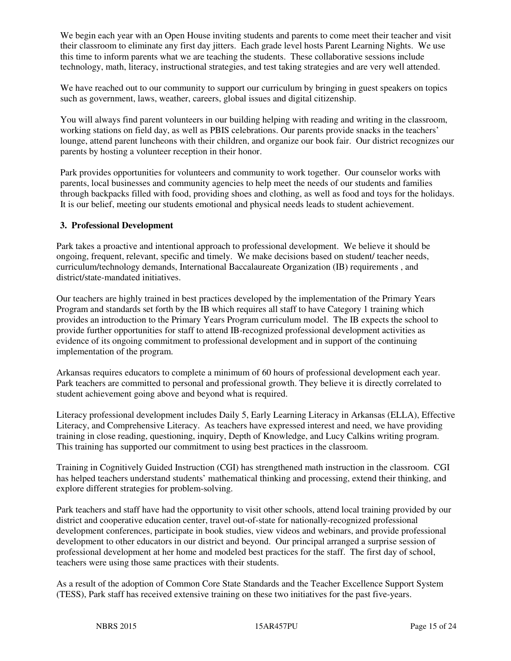We begin each year with an Open House inviting students and parents to come meet their teacher and visit their classroom to eliminate any first day jitters. Each grade level hosts Parent Learning Nights. We use this time to inform parents what we are teaching the students. These collaborative sessions include technology, math, literacy, instructional strategies, and test taking strategies and are very well attended.

We have reached out to our community to support our curriculum by bringing in guest speakers on topics such as government, laws, weather, careers, global issues and digital citizenship.

You will always find parent volunteers in our building helping with reading and writing in the classroom, working stations on field day, as well as PBIS celebrations. Our parents provide snacks in the teachers' lounge, attend parent luncheons with their children, and organize our book fair. Our district recognizes our parents by hosting a volunteer reception in their honor.

Park provides opportunities for volunteers and community to work together. Our counselor works with parents, local businesses and community agencies to help meet the needs of our students and families through backpacks filled with food, providing shoes and clothing, as well as food and toys for the holidays. It is our belief, meeting our students emotional and physical needs leads to student achievement.

#### **3. Professional Development**

Park takes a proactive and intentional approach to professional development. We believe it should be ongoing, frequent, relevant, specific and timely. We make decisions based on student/ teacher needs, curriculum/technology demands, International Baccalaureate Organization (IB) requirements , and district/state-mandated initiatives.

Our teachers are highly trained in best practices developed by the implementation of the Primary Years Program and standards set forth by the IB which requires all staff to have Category 1 training which provides an introduction to the Primary Years Program curriculum model. The IB expects the school to provide further opportunities for staff to attend IB-recognized professional development activities as evidence of its ongoing commitment to professional development and in support of the continuing implementation of the program.

Arkansas requires educators to complete a minimum of 60 hours of professional development each year. Park teachers are committed to personal and professional growth. They believe it is directly correlated to student achievement going above and beyond what is required.

Literacy professional development includes Daily 5, Early Learning Literacy in Arkansas (ELLA), Effective Literacy, and Comprehensive Literacy. As teachers have expressed interest and need, we have providing training in close reading, questioning, inquiry, Depth of Knowledge, and Lucy Calkins writing program. This training has supported our commitment to using best practices in the classroom.

Training in Cognitively Guided Instruction (CGI) has strengthened math instruction in the classroom. CGI has helped teachers understand students' mathematical thinking and processing, extend their thinking, and explore different strategies for problem-solving.

Park teachers and staff have had the opportunity to visit other schools, attend local training provided by our district and cooperative education center, travel out-of-state for nationally-recognized professional development conferences, participate in book studies, view videos and webinars, and provide professional development to other educators in our district and beyond. Our principal arranged a surprise session of professional development at her home and modeled best practices for the staff. The first day of school, teachers were using those same practices with their students.

As a result of the adoption of Common Core State Standards and the Teacher Excellence Support System (TESS), Park staff has received extensive training on these two initiatives for the past five-years.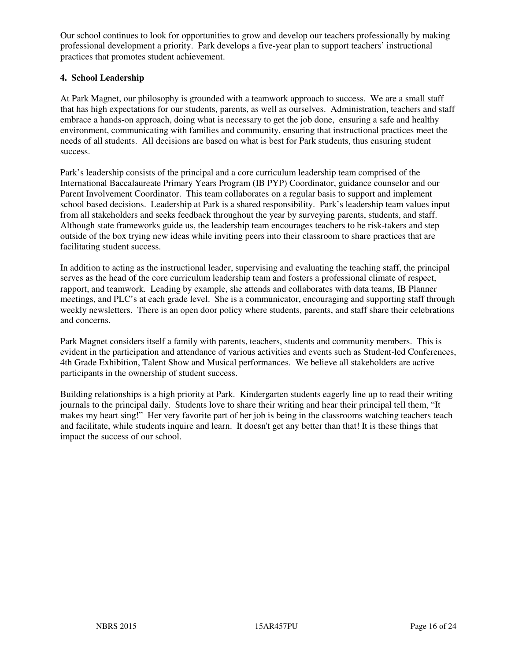Our school continues to look for opportunities to grow and develop our teachers professionally by making professional development a priority. Park develops a five-year plan to support teachers' instructional practices that promotes student achievement.

#### **4. School Leadership**

At Park Magnet, our philosophy is grounded with a teamwork approach to success. We are a small staff that has high expectations for our students, parents, as well as ourselves. Administration, teachers and staff embrace a hands-on approach, doing what is necessary to get the job done, ensuring a safe and healthy environment, communicating with families and community, ensuring that instructional practices meet the needs of all students. All decisions are based on what is best for Park students, thus ensuring student success.

Park's leadership consists of the principal and a core curriculum leadership team comprised of the International Baccalaureate Primary Years Program (IB PYP) Coordinator, guidance counselor and our Parent Involvement Coordinator. This team collaborates on a regular basis to support and implement school based decisions. Leadership at Park is a shared responsibility. Park's leadership team values input from all stakeholders and seeks feedback throughout the year by surveying parents, students, and staff. Although state frameworks guide us, the leadership team encourages teachers to be risk-takers and step outside of the box trying new ideas while inviting peers into their classroom to share practices that are facilitating student success.

In addition to acting as the instructional leader, supervising and evaluating the teaching staff, the principal serves as the head of the core curriculum leadership team and fosters a professional climate of respect, rapport, and teamwork. Leading by example, she attends and collaborates with data teams, IB Planner meetings, and PLC's at each grade level. She is a communicator, encouraging and supporting staff through weekly newsletters. There is an open door policy where students, parents, and staff share their celebrations and concerns.

Park Magnet considers itself a family with parents, teachers, students and community members. This is evident in the participation and attendance of various activities and events such as Student-led Conferences, 4th Grade Exhibition, Talent Show and Musical performances. We believe all stakeholders are active participants in the ownership of student success.

Building relationships is a high priority at Park. Kindergarten students eagerly line up to read their writing journals to the principal daily. Students love to share their writing and hear their principal tell them, "It makes my heart sing!" Her very favorite part of her job is being in the classrooms watching teachers teach and facilitate, while students inquire and learn. It doesn't get any better than that! It is these things that impact the success of our school.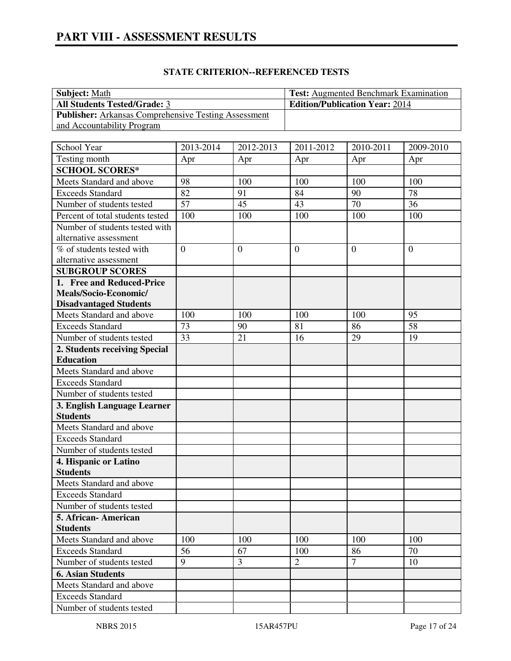# **STATE CRITERION--REFERENCED TESTS**

| <b>Subject:</b> Math                                        | <b>Test:</b> Augmented Benchmark Examination |
|-------------------------------------------------------------|----------------------------------------------|
| <b>All Students Tested/Grade: 3</b>                         | <b>Edition/Publication Year: 2014</b>        |
| <b>Publisher:</b> Arkansas Comprehensive Testing Assessment |                                              |
| and Accountability Program                                  |                                              |

| School Year                                    | 2013-2014      | 2012-2013      | 2011-2012      | 2010-2011    | 2009-2010      |
|------------------------------------------------|----------------|----------------|----------------|--------------|----------------|
| Testing month                                  | Apr            | Apr            | Apr            | Apr          | Apr            |
| <b>SCHOOL SCORES*</b>                          |                |                |                |              |                |
| Meets Standard and above                       | 98             | 100            | 100            | 100          | 100            |
| <b>Exceeds Standard</b>                        | 82             | 91             | 84             | 90           | 78             |
| Number of students tested                      | 57             | 45             | 43             | 70           | 36             |
| Percent of total students tested               | 100            | 100            | 100            | 100          | 100            |
| Number of students tested with                 |                |                |                |              |                |
| alternative assessment                         |                |                |                |              |                |
| % of students tested with                      | $\overline{0}$ | $\overline{0}$ | $\overline{0}$ | $\mathbf{0}$ | $\overline{0}$ |
| alternative assessment                         |                |                |                |              |                |
| <b>SUBGROUP SCORES</b>                         |                |                |                |              |                |
| 1. Free and Reduced-Price                      |                |                |                |              |                |
| Meals/Socio-Economic/                          |                |                |                |              |                |
| <b>Disadvantaged Students</b>                  |                |                |                |              |                |
| Meets Standard and above                       | 100            | 100            | 100            | 100          | 95             |
| <b>Exceeds Standard</b>                        | 73             | 90             | 81             | 86           | 58             |
| Number of students tested                      | 33             | 21             | 16             | 29           | 19             |
| 2. Students receiving Special                  |                |                |                |              |                |
| <b>Education</b>                               |                |                |                |              |                |
| Meets Standard and above                       |                |                |                |              |                |
| <b>Exceeds Standard</b>                        |                |                |                |              |                |
| Number of students tested                      |                |                |                |              |                |
| 3. English Language Learner<br><b>Students</b> |                |                |                |              |                |
| Meets Standard and above                       |                |                |                |              |                |
| <b>Exceeds Standard</b>                        |                |                |                |              |                |
| Number of students tested                      |                |                |                |              |                |
| 4. Hispanic or Latino                          |                |                |                |              |                |
| <b>Students</b>                                |                |                |                |              |                |
| Meets Standard and above                       |                |                |                |              |                |
| <b>Exceeds Standard</b>                        |                |                |                |              |                |
| Number of students tested                      |                |                |                |              |                |
| 5. African-American                            |                |                |                |              |                |
| <b>Students</b>                                |                |                |                |              |                |
| Meets Standard and above                       | 100            | 100            | 100            | 100          | 100            |
| <b>Exceeds Standard</b>                        | 56             | 67             | 100            | 86           | 70             |
| Number of students tested                      | 9              | 3              | $\overline{2}$ | $\tau$       | 10             |
| <b>6. Asian Students</b>                       |                |                |                |              |                |
| Meets Standard and above                       |                |                |                |              |                |
| <b>Exceeds Standard</b>                        |                |                |                |              |                |
| Number of students tested                      |                |                |                |              |                |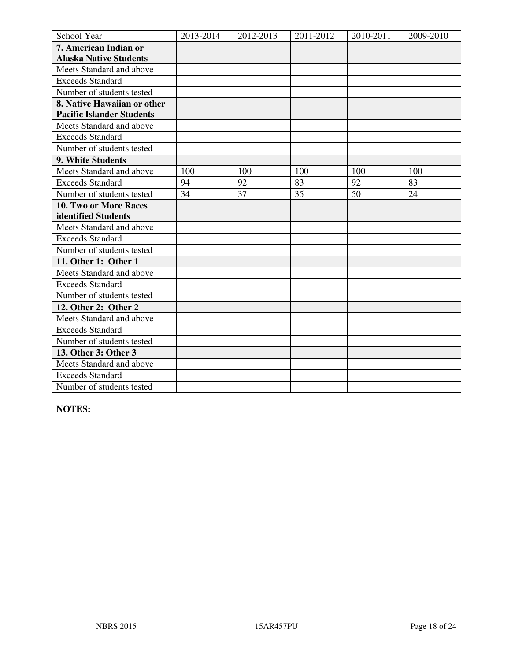| School Year                      | 2013-2014 | 2012-2013 | 2011-2012 | 2010-2011 | 2009-2010 |
|----------------------------------|-----------|-----------|-----------|-----------|-----------|
| 7. American Indian or            |           |           |           |           |           |
| <b>Alaska Native Students</b>    |           |           |           |           |           |
| Meets Standard and above         |           |           |           |           |           |
| <b>Exceeds Standard</b>          |           |           |           |           |           |
| Number of students tested        |           |           |           |           |           |
| 8. Native Hawaiian or other      |           |           |           |           |           |
| <b>Pacific Islander Students</b> |           |           |           |           |           |
| Meets Standard and above         |           |           |           |           |           |
| <b>Exceeds Standard</b>          |           |           |           |           |           |
| Number of students tested        |           |           |           |           |           |
| 9. White Students                |           |           |           |           |           |
| Meets Standard and above         | 100       | 100       | 100       | 100       | 100       |
| <b>Exceeds Standard</b>          | 94        | 92        | 83        | 92        | 83        |
| Number of students tested        | 34        | 37        | 35        | 50        | 24        |
| 10. Two or More Races            |           |           |           |           |           |
| identified Students              |           |           |           |           |           |
| Meets Standard and above         |           |           |           |           |           |
| <b>Exceeds Standard</b>          |           |           |           |           |           |
| Number of students tested        |           |           |           |           |           |
| 11. Other 1: Other 1             |           |           |           |           |           |
| Meets Standard and above         |           |           |           |           |           |
| <b>Exceeds Standard</b>          |           |           |           |           |           |
| Number of students tested        |           |           |           |           |           |
| 12. Other 2: Other 2             |           |           |           |           |           |
| Meets Standard and above         |           |           |           |           |           |
| <b>Exceeds Standard</b>          |           |           |           |           |           |
| Number of students tested        |           |           |           |           |           |
| 13. Other 3: Other 3             |           |           |           |           |           |
| Meets Standard and above         |           |           |           |           |           |
| <b>Exceeds Standard</b>          |           |           |           |           |           |
| Number of students tested        |           |           |           |           |           |

**NOTES:**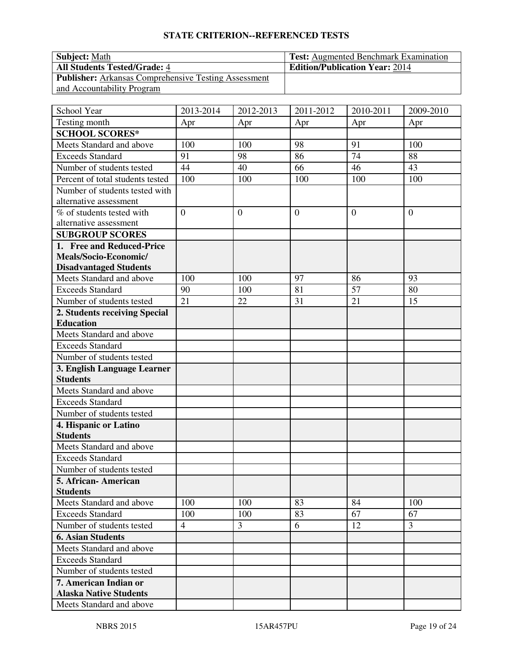# **STATE CRITERION--REFERENCED TESTS**

| <b>Subject: Math</b>                                        | <b>Test:</b> Augmented Benchmark Examination |
|-------------------------------------------------------------|----------------------------------------------|
| <b>All Students Tested/Grade: 4</b>                         | <b>Edition/Publication Year: 2014</b>        |
| <b>Publisher:</b> Arkansas Comprehensive Testing Assessment |                                              |
| and Accountability Program                                  |                                              |

| School Year                                              | 2013-2014      | 2012-2013        | 2011-2012      | 2010-2011 | 2009-2010      |
|----------------------------------------------------------|----------------|------------------|----------------|-----------|----------------|
| Testing month                                            | Apr            | Apr              | Apr            | Apr       | Apr            |
| <b>SCHOOL SCORES*</b>                                    |                |                  |                |           |                |
| Meets Standard and above                                 | 100            | 100              | 98             | 91        | 100            |
| <b>Exceeds Standard</b>                                  | 91             | 98               | 86             | 74        | 88             |
| Number of students tested                                | 44             | 40               | 66             | 46        | 43             |
| Percent of total students tested                         | 100            | 100              | 100            | 100       | 100            |
| Number of students tested with<br>alternative assessment |                |                  |                |           |                |
| % of students tested with<br>alternative assessment      | $\overline{0}$ | $\boldsymbol{0}$ | $\overline{0}$ | $\theta$  | $\overline{0}$ |
| <b>SUBGROUP SCORES</b>                                   |                |                  |                |           |                |
| 1. Free and Reduced-Price                                |                |                  |                |           |                |
| Meals/Socio-Economic/                                    |                |                  |                |           |                |
| <b>Disadvantaged Students</b>                            |                |                  |                |           |                |
| Meets Standard and above                                 | 100            | 100              | 97             | 86        | 93             |
| <b>Exceeds Standard</b>                                  | 90             | 100              | 81             | 57        | 80             |
| Number of students tested                                | 21             | 22               | 31             | 21        | 15             |
| 2. Students receiving Special                            |                |                  |                |           |                |
| <b>Education</b>                                         |                |                  |                |           |                |
| Meets Standard and above                                 |                |                  |                |           |                |
| <b>Exceeds Standard</b>                                  |                |                  |                |           |                |
| Number of students tested                                |                |                  |                |           |                |
| 3. English Language Learner                              |                |                  |                |           |                |
| <b>Students</b>                                          |                |                  |                |           |                |
| Meets Standard and above                                 |                |                  |                |           |                |
| <b>Exceeds Standard</b>                                  |                |                  |                |           |                |
| Number of students tested                                |                |                  |                |           |                |
| 4. Hispanic or Latino                                    |                |                  |                |           |                |
| <b>Students</b>                                          |                |                  |                |           |                |
| Meets Standard and above                                 |                |                  |                |           |                |
| <b>Exceeds Standard</b>                                  |                |                  |                |           |                |
| Number of students tested                                |                |                  |                |           |                |
| 5. African- American                                     |                |                  |                |           |                |
| <b>Students</b>                                          |                |                  |                |           |                |
| Meets Standard and above                                 | 100            | 100              | 83             | 84        | 100            |
| <b>Exceeds Standard</b>                                  | 100            | 100              | 83             | 67        | 67             |
| Number of students tested                                | $\overline{4}$ | 3                | 6              | 12        | $\overline{3}$ |
| <b>6. Asian Students</b>                                 |                |                  |                |           |                |
| Meets Standard and above                                 |                |                  |                |           |                |
| <b>Exceeds Standard</b>                                  |                |                  |                |           |                |
| Number of students tested                                |                |                  |                |           |                |
| 7. American Indian or                                    |                |                  |                |           |                |
| <b>Alaska Native Students</b>                            |                |                  |                |           |                |
| Meets Standard and above                                 |                |                  |                |           |                |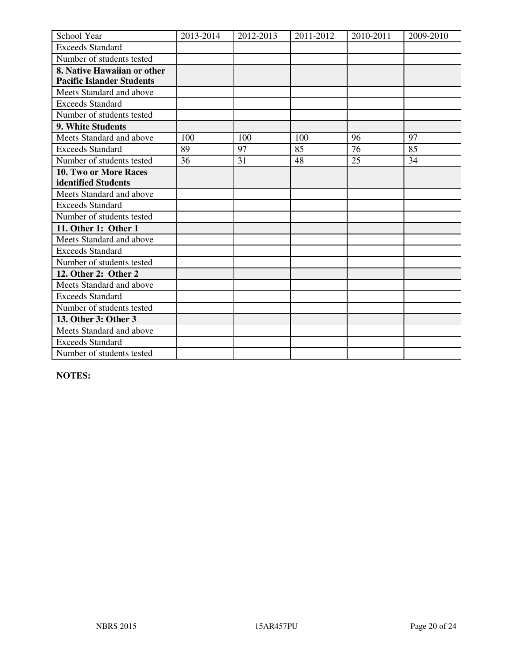| School Year                      | 2013-2014 | 2012-2013 | 2011-2012 | 2010-2011 | 2009-2010 |
|----------------------------------|-----------|-----------|-----------|-----------|-----------|
| <b>Exceeds Standard</b>          |           |           |           |           |           |
| Number of students tested        |           |           |           |           |           |
| 8. Native Hawaiian or other      |           |           |           |           |           |
| <b>Pacific Islander Students</b> |           |           |           |           |           |
| Meets Standard and above         |           |           |           |           |           |
| <b>Exceeds Standard</b>          |           |           |           |           |           |
| Number of students tested        |           |           |           |           |           |
| 9. White Students                |           |           |           |           |           |
| Meets Standard and above         | 100       | 100       | 100       | 96        | 97        |
| <b>Exceeds Standard</b>          | 89        | 97        | 85        | 76        | 85        |
| Number of students tested        | 36        | 31        | 48        | 25        | 34        |
| 10. Two or More Races            |           |           |           |           |           |
| identified Students              |           |           |           |           |           |
| Meets Standard and above         |           |           |           |           |           |
| <b>Exceeds Standard</b>          |           |           |           |           |           |
| Number of students tested        |           |           |           |           |           |
| 11. Other 1: Other 1             |           |           |           |           |           |
| Meets Standard and above         |           |           |           |           |           |
| <b>Exceeds Standard</b>          |           |           |           |           |           |
| Number of students tested        |           |           |           |           |           |
| 12. Other 2: Other 2             |           |           |           |           |           |
| Meets Standard and above         |           |           |           |           |           |
| <b>Exceeds Standard</b>          |           |           |           |           |           |
| Number of students tested        |           |           |           |           |           |
| 13. Other 3: Other 3             |           |           |           |           |           |
| Meets Standard and above         |           |           |           |           |           |
| <b>Exceeds Standard</b>          |           |           |           |           |           |
| Number of students tested        |           |           |           |           |           |

**NOTES:**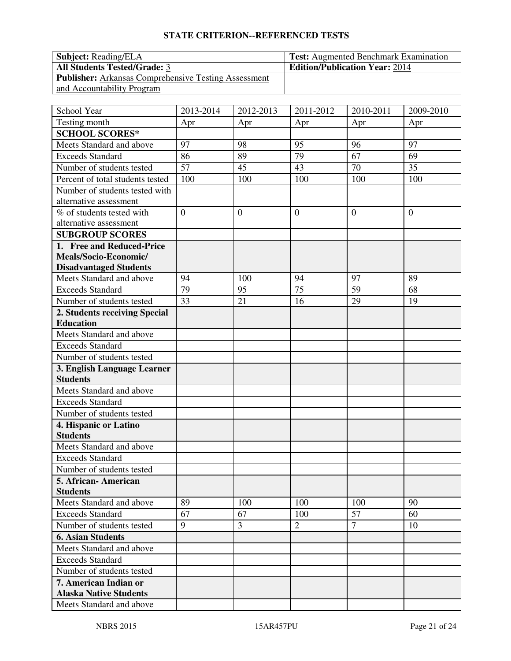# **STATE CRITERION--REFERENCED TESTS**

| <b>Subject:</b> Reading/ELA                                 | <b>Test:</b> Augmented Benchmark Examination |
|-------------------------------------------------------------|----------------------------------------------|
| <b>All Students Tested/Grade: 3</b>                         | <b>Edition/Publication Year: 2014</b>        |
| <b>Publisher:</b> Arkansas Comprehensive Testing Assessment |                                              |
| and Accountability Program                                  |                                              |

| School Year                      | 2013-2014      | 2012-2013      | 2011-2012      | 2010-2011      | 2009-2010      |
|----------------------------------|----------------|----------------|----------------|----------------|----------------|
| Testing month                    | Apr            | Apr            | Apr            | Apr            | Apr            |
| <b>SCHOOL SCORES*</b>            |                |                |                |                |                |
| Meets Standard and above         | 97             | 98             | 95             | 96             | 97             |
| <b>Exceeds Standard</b>          | 86             | 89             | 79             | 67             | 69             |
| Number of students tested        | 57             | 45             | 43             | 70             | 35             |
| Percent of total students tested | 100            | 100            | 100            | 100            | 100            |
| Number of students tested with   |                |                |                |                |                |
| alternative assessment           |                |                |                |                |                |
| % of students tested with        | $\overline{0}$ | $\overline{0}$ | $\overline{0}$ | $\overline{0}$ | $\overline{0}$ |
| alternative assessment           |                |                |                |                |                |
| <b>SUBGROUP SCORES</b>           |                |                |                |                |                |
| 1. Free and Reduced-Price        |                |                |                |                |                |
| Meals/Socio-Economic/            |                |                |                |                |                |
| <b>Disadvantaged Students</b>    |                |                |                |                |                |
| Meets Standard and above         | 94             | 100            | 94             | 97             | 89             |
| <b>Exceeds Standard</b>          | 79             | 95             | 75             | 59             | 68             |
| Number of students tested        | 33             | 21             | 16             | 29             | 19             |
| 2. Students receiving Special    |                |                |                |                |                |
| <b>Education</b>                 |                |                |                |                |                |
| Meets Standard and above         |                |                |                |                |                |
| <b>Exceeds Standard</b>          |                |                |                |                |                |
| Number of students tested        |                |                |                |                |                |
| 3. English Language Learner      |                |                |                |                |                |
| <b>Students</b>                  |                |                |                |                |                |
| Meets Standard and above         |                |                |                |                |                |
| <b>Exceeds Standard</b>          |                |                |                |                |                |
| Number of students tested        |                |                |                |                |                |
| 4. Hispanic or Latino            |                |                |                |                |                |
| <b>Students</b>                  |                |                |                |                |                |
| Meets Standard and above         |                |                |                |                |                |
| <b>Exceeds Standard</b>          |                |                |                |                |                |
| Number of students tested        |                |                |                |                |                |
| 5. African- American             |                |                |                |                |                |
| <b>Students</b>                  |                |                |                |                |                |
| Meets Standard and above         | 89             | 100            | 100            | 100            | 90             |
| <b>Exceeds Standard</b>          | 67             | 67             | 100            | 57             | 60             |
| Number of students tested        | 9              | 3              | $\overline{2}$ | $\overline{7}$ | 10             |
| <b>6. Asian Students</b>         |                |                |                |                |                |
| Meets Standard and above         |                |                |                |                |                |
| <b>Exceeds Standard</b>          |                |                |                |                |                |
| Number of students tested        |                |                |                |                |                |
| 7. American Indian or            |                |                |                |                |                |
| <b>Alaska Native Students</b>    |                |                |                |                |                |
| Meets Standard and above         |                |                |                |                |                |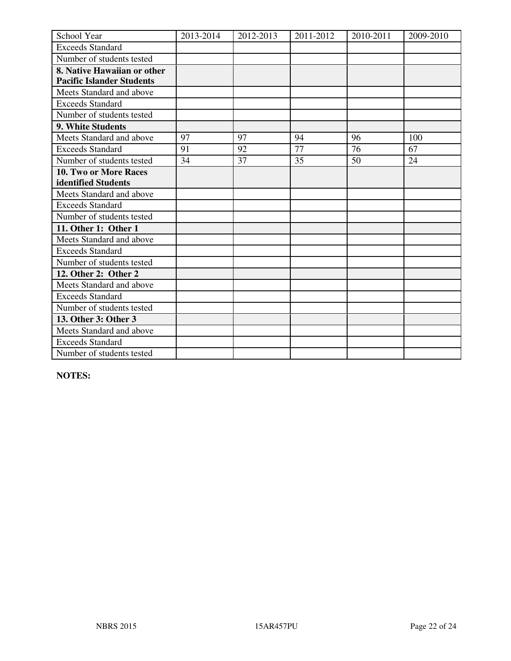| School Year                      | 2013-2014 | 2012-2013 | 2011-2012 | 2010-2011 | 2009-2010 |
|----------------------------------|-----------|-----------|-----------|-----------|-----------|
| <b>Exceeds Standard</b>          |           |           |           |           |           |
| Number of students tested        |           |           |           |           |           |
| 8. Native Hawaiian or other      |           |           |           |           |           |
| <b>Pacific Islander Students</b> |           |           |           |           |           |
| Meets Standard and above         |           |           |           |           |           |
| <b>Exceeds Standard</b>          |           |           |           |           |           |
| Number of students tested        |           |           |           |           |           |
| 9. White Students                |           |           |           |           |           |
| Meets Standard and above         | 97        | 97        | 94        | 96        | 100       |
| <b>Exceeds Standard</b>          | 91        | 92        | 77        | 76        | 67        |
| Number of students tested        | 34        | 37        | 35        | 50        | 24        |
| 10. Two or More Races            |           |           |           |           |           |
| identified Students              |           |           |           |           |           |
| Meets Standard and above         |           |           |           |           |           |
| <b>Exceeds Standard</b>          |           |           |           |           |           |
| Number of students tested        |           |           |           |           |           |
| 11. Other 1: Other 1             |           |           |           |           |           |
| Meets Standard and above         |           |           |           |           |           |
| <b>Exceeds Standard</b>          |           |           |           |           |           |
| Number of students tested        |           |           |           |           |           |
| 12. Other 2: Other 2             |           |           |           |           |           |
| Meets Standard and above         |           |           |           |           |           |
| <b>Exceeds Standard</b>          |           |           |           |           |           |
| Number of students tested        |           |           |           |           |           |
| 13. Other 3: Other 3             |           |           |           |           |           |
| Meets Standard and above         |           |           |           |           |           |
| <b>Exceeds Standard</b>          |           |           |           |           |           |
| Number of students tested        |           |           |           |           |           |

**NOTES:**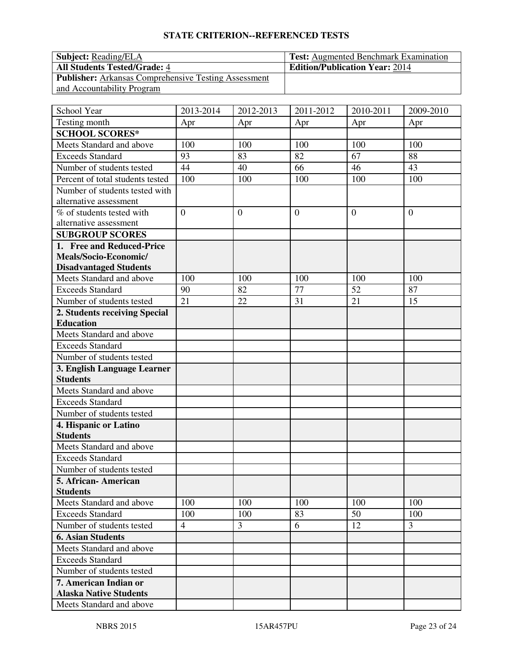# **STATE CRITERION--REFERENCED TESTS**

| <b>Subject:</b> Reading/ELA                                 | <b>Test:</b> Augmented Benchmark Examination |
|-------------------------------------------------------------|----------------------------------------------|
| <b>All Students Tested/Grade: 4</b>                         | <b>Edition/Publication Year: 2014</b>        |
| <b>Publisher:</b> Arkansas Comprehensive Testing Assessment |                                              |
| and Accountability Program                                  |                                              |

| School Year                                               | 2013-2014      | 2012-2013      | 2011-2012      | 2010-2011      | 2009-2010      |
|-----------------------------------------------------------|----------------|----------------|----------------|----------------|----------------|
| Testing month                                             | Apr            | Apr            | Apr            | Apr            | Apr            |
| <b>SCHOOL SCORES*</b>                                     |                |                |                |                |                |
| Meets Standard and above                                  | 100            | 100            | 100            | 100            | 100            |
| <b>Exceeds Standard</b>                                   | 93             | 83             | 82             | 67             | 88             |
| Number of students tested                                 | 44             | 40             | 66             | 46             | 43             |
| Percent of total students tested                          | 100            | 100            | 100            | 100            | 100            |
| Number of students tested with<br>alternative assessment  |                |                |                |                |                |
| % of students tested with<br>alternative assessment       | $\overline{0}$ | $\overline{0}$ | $\overline{0}$ | $\overline{0}$ | $\overline{0}$ |
| <b>SUBGROUP SCORES</b>                                    |                |                |                |                |                |
| 1. Free and Reduced-Price                                 |                |                |                |                |                |
| Meals/Socio-Economic/                                     |                |                |                |                |                |
| <b>Disadvantaged Students</b><br>Meets Standard and above | 100            | 100            | 100            | 100            | 100            |
| <b>Exceeds Standard</b>                                   | 90             | 82             | 77             | 52             | 87             |
| Number of students tested                                 | 21             | 22             | 31             | 21             | 15             |
| 2. Students receiving Special                             |                |                |                |                |                |
| <b>Education</b>                                          |                |                |                |                |                |
| Meets Standard and above                                  |                |                |                |                |                |
| <b>Exceeds Standard</b>                                   |                |                |                |                |                |
| Number of students tested                                 |                |                |                |                |                |
| 3. English Language Learner                               |                |                |                |                |                |
| <b>Students</b>                                           |                |                |                |                |                |
| Meets Standard and above                                  |                |                |                |                |                |
| <b>Exceeds Standard</b>                                   |                |                |                |                |                |
| Number of students tested                                 |                |                |                |                |                |
| 4. Hispanic or Latino                                     |                |                |                |                |                |
| <b>Students</b>                                           |                |                |                |                |                |
| Meets Standard and above                                  |                |                |                |                |                |
| <b>Exceeds Standard</b>                                   |                |                |                |                |                |
| Number of students tested                                 |                |                |                |                |                |
| 5. African- American                                      |                |                |                |                |                |
| <b>Students</b>                                           |                |                |                |                |                |
| Meets Standard and above                                  | 100            | 100            | 100            | 100            | 100            |
| <b>Exceeds Standard</b>                                   | 100            | 100            | 83             | 50             | 100            |
| Number of students tested                                 | $\overline{4}$ | 3              | 6              | 12             | 3              |
| <b>6. Asian Students</b>                                  |                |                |                |                |                |
| Meets Standard and above                                  |                |                |                |                |                |
| <b>Exceeds Standard</b>                                   |                |                |                |                |                |
| Number of students tested                                 |                |                |                |                |                |
| 7. American Indian or                                     |                |                |                |                |                |
| <b>Alaska Native Students</b>                             |                |                |                |                |                |
| Meets Standard and above                                  |                |                |                |                |                |